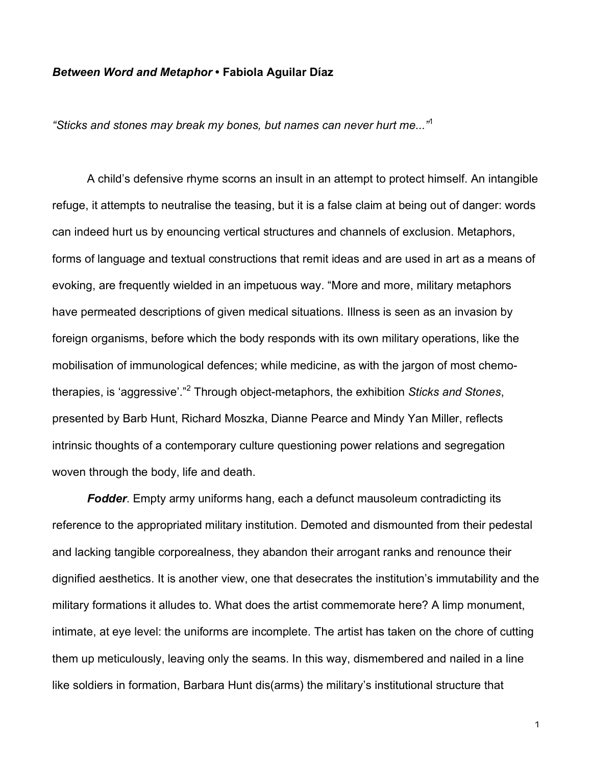## *Between Word and Metaphor* **• Fabiola Aguilar Díaz**

*"Sticks and stones may break my bones, but names can never hurt me..."*<sup>1</sup>

A child's defensive rhyme scorns an insult in an attempt to protect himself. An intangible refuge, it attempts to neutralise the teasing, but it is a false claim at being out of danger: words can indeed hurt us by enouncing vertical structures and channels of exclusion. Metaphors, forms of language and textual constructions that remit ideas and are used in art as a means of evoking, are frequently wielded in an impetuous way. "More and more, military metaphors have permeated descriptions of given medical situations. Illness is seen as an invasion by foreign organisms, before which the body responds with its own military operations, like the mobilisation of immunological defences; while medicine, as with the jargon of most chemotherapies, is 'aggressive'."<sup>2</sup> Through object-metaphors, the exhibition *Sticks and Stones*, presented by Barb Hunt, Richard Moszka, Dianne Pearce and Mindy Yan Miller, reflects intrinsic thoughts of a contemporary culture questioning power relations and segregation woven through the body, life and death.

*Fodder*. Empty army uniforms hang, each a defunct mausoleum contradicting its reference to the appropriated military institution. Demoted and dismounted from their pedestal and lacking tangible corporealness, they abandon their arrogant ranks and renounce their dignified aesthetics. It is another view, one that desecrates the institution's immutability and the military formations it alludes to. What does the artist commemorate here? A limp monument, intimate, at eye level: the uniforms are incomplete. The artist has taken on the chore of cutting them up meticulously, leaving only the seams. In this way, dismembered and nailed in a line like soldiers in formation, Barbara Hunt dis(arms) the military's institutional structure that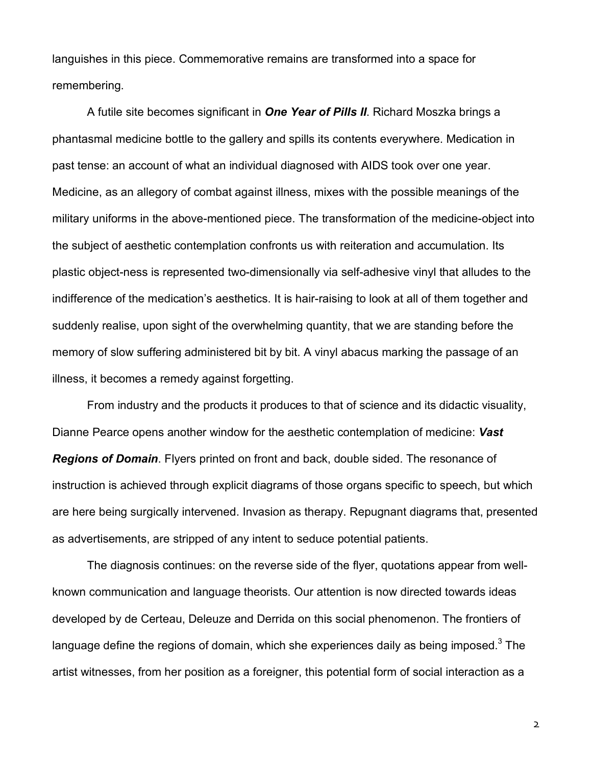languishes in this piece. Commemorative remains are transformed into a space for remembering.

A futile site becomes significant in *One Year of Pills II*. Richard Moszka brings a phantasmal medicine bottle to the gallery and spills its contents everywhere. Medication in past tense: an account of what an individual diagnosed with AIDS took over one year. Medicine, as an allegory of combat against illness, mixes with the possible meanings of the military uniforms in the above-mentioned piece. The transformation of the medicine-object into the subject of aesthetic contemplation confronts us with reiteration and accumulation. Its plastic object-ness is represented two-dimensionally via self-adhesive vinyl that alludes to the indifference of the medication's aesthetics. It is hair-raising to look at all of them together and suddenly realise, upon sight of the overwhelming quantity, that we are standing before the memory of slow suffering administered bit by bit. A vinyl abacus marking the passage of an illness, it becomes a remedy against forgetting.

From industry and the products it produces to that of science and its didactic visuality, Dianne Pearce opens another window for the aesthetic contemplation of medicine: *Vast Regions of Domain*. Flyers printed on front and back, double sided. The resonance of instruction is achieved through explicit diagrams of those organs specific to speech, but which are here being surgically intervened. Invasion as therapy. Repugnant diagrams that, presented as advertisements, are stripped of any intent to seduce potential patients.

The diagnosis continues: on the reverse side of the flyer, quotations appear from wellknown communication and language theorists. Our attention is now directed towards ideas developed by de Certeau, Deleuze and Derrida on this social phenomenon. The frontiers of language define the regions of domain, which she experiences daily as being imposed.<sup>3</sup> The artist witnesses, from her position as a foreigner, this potential form of social interaction as a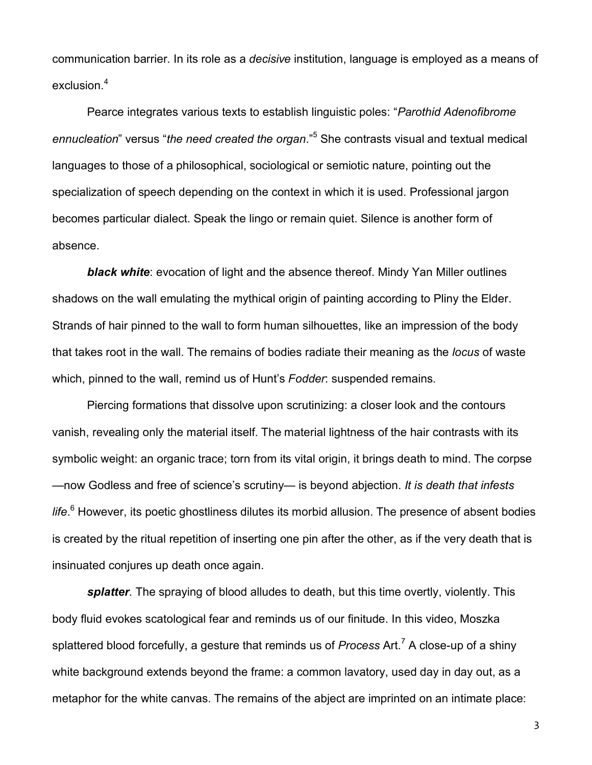communication barrier. In its role as a *decisive* institution, language is employed as a means of exclusion.<sup>4</sup>

Pearce integrates various texts to establish linguistic poles: "*Parothid Adenofibrome ennucleation*" versus "*the need created the organ*."<sup>5</sup> She contrasts visual and textual medical languages to those of a philosophical, sociological or semiotic nature, pointing out the specialization of speech depending on the context in which it is used. Professional jargon becomes particular dialect. Speak the lingo or remain quiet. Silence is another form of absence.

*black white*: evocation of light and the absence thereof. Mindy Yan Miller outlines shadows on the wall emulating the mythical origin of painting according to Pliny the Elder. Strands of hair pinned to the wall to form human silhouettes, like an impression of the body that takes root in the wall. The remains of bodies radiate their meaning as the *locus* of waste which, pinned to the wall, remind us of Hunt's *Fodder*: suspended remains.

Piercing formations that dissolve upon scrutinizing: a closer look and the contours vanish, revealing only the material itself. The material lightness of the hair contrasts with its symbolic weight: an organic trace; torn from its vital origin, it brings death to mind. The corpse —now Godless and free of science's scrutiny— is beyond abjection. *It is death that infests life*. 6 However, its poetic ghostliness dilutes its morbid allusion. The presence of absent bodies is created by the ritual repetition of inserting one pin after the other, as if the very death that is insinuated conjures up death once again.

*splatter*. The spraying of blood alludes to death, but this time overtly, violently. This body fluid evokes scatological fear and reminds us of our finitude. In this video, Moszka splattered blood forcefully, a gesture that reminds us of *Process* Art.<sup>7</sup> A close-up of a shiny white background extends beyond the frame: a common lavatory, used day in day out, as a metaphor for the white canvas. The remains of the abject are imprinted on an intimate place: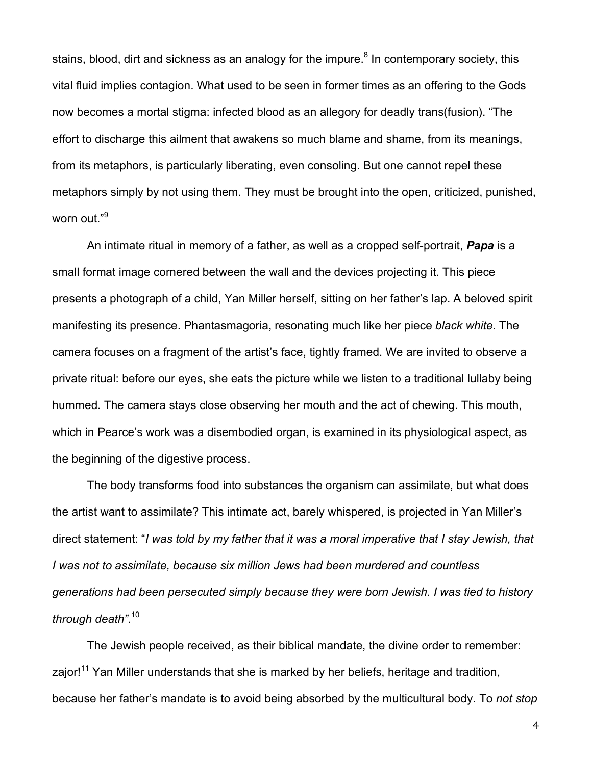stains, blood, dirt and sickness as an analogy for the impure.<sup>8</sup> In contemporary society, this vital fluid implies contagion. What used to be seen in former times as an offering to the Gods now becomes a mortal stigma: infected blood as an allegory for deadly trans(fusion). "The effort to discharge this ailment that awakens so much blame and shame, from its meanings, from its metaphors, is particularly liberating, even consoling. But one cannot repel these metaphors simply by not using them. They must be brought into the open, criticized, punished, worn out." 9

An intimate ritual in memory of a father, as well as a cropped self-portrait, *Papa* is a small format image cornered between the wall and the devices projecting it. This piece presents a photograph of a child, Yan Miller herself, sitting on her father's lap. A beloved spirit manifesting its presence. Phantasmagoria, resonating much like her piece *black white*. The camera focuses on a fragment of the artist's face, tightly framed. We are invited to observe a private ritual: before our eyes, she eats the picture while we listen to a traditional lullaby being hummed. The camera stays close observing her mouth and the act of chewing. This mouth, which in Pearce's work was a disembodied organ, is examined in its physiological aspect, as the beginning of the digestive process.

The body transforms food into substances the organism can assimilate, but what does the artist want to assimilate? This intimate act, barely whispered, is projected in Yan Miller's direct statement: "*I was told by my father that it was a moral imperative that I stay Jewish, that I was not to assimilate, because six million Jews had been murdered and countless generations had been persecuted simply because they were born Jewish. I was tied to history through death"*. 10

The Jewish people received, as their biblical mandate, the divine order to remember: zajor!<sup>11</sup> Yan Miller understands that she is marked by her beliefs, heritage and tradition, because her father's mandate is to avoid being absorbed by the multicultural body. To *not stop*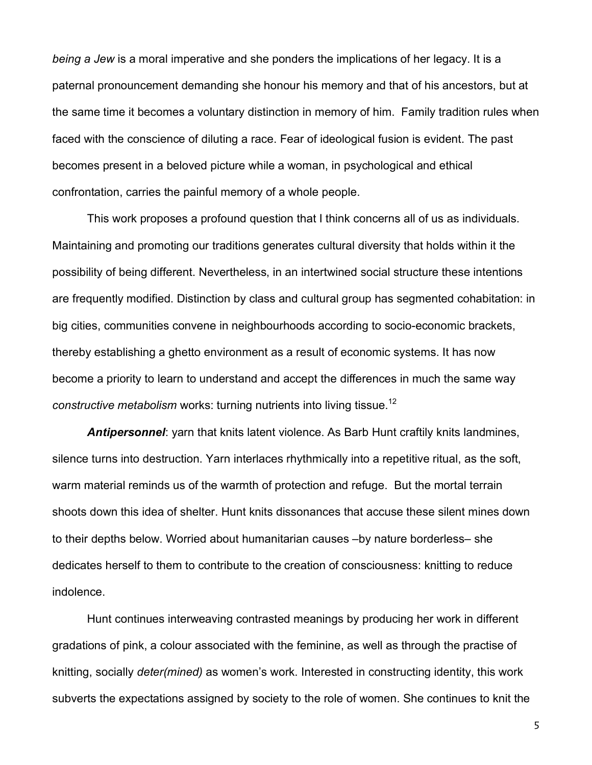*being a Jew* is a moral imperative and she ponders the implications of her legacy. It is a paternal pronouncement demanding she honour his memory and that of his ancestors, but at the same time it becomes a voluntary distinction in memory of him. Family tradition rules when faced with the conscience of diluting a race. Fear of ideological fusion is evident. The past becomes present in a beloved picture while a woman, in psychological and ethical confrontation, carries the painful memory of a whole people.

This work proposes a profound question that I think concerns all of us as individuals. Maintaining and promoting our traditions generates cultural diversity that holds within it the possibility of being different. Nevertheless, in an intertwined social structure these intentions are frequently modified. Distinction by class and cultural group has segmented cohabitation: in big cities, communities convene in neighbourhoods according to socio-economic brackets, thereby establishing a ghetto environment as a result of economic systems. It has now become a priority to learn to understand and accept the differences in much the same way *constructive metabolism* works: turning nutrients into living tissue.<sup>12</sup>

*Antipersonnel*: yarn that knits latent violence. As Barb Hunt craftily knits landmines, silence turns into destruction. Yarn interlaces rhythmically into a repetitive ritual, as the soft, warm material reminds us of the warmth of protection and refuge. But the mortal terrain shoots down this idea of shelter. Hunt knits dissonances that accuse these silent mines down to their depths below. Worried about humanitarian causes –by nature borderless– she dedicates herself to them to contribute to the creation of consciousness: knitting to reduce indolence.

Hunt continues interweaving contrasted meanings by producing her work in different gradations of pink, a colour associated with the feminine, as well as through the practise of knitting, socially *deter(mined)* as women's work. Interested in constructing identity, this work subverts the expectations assigned by society to the role of women. She continues to knit the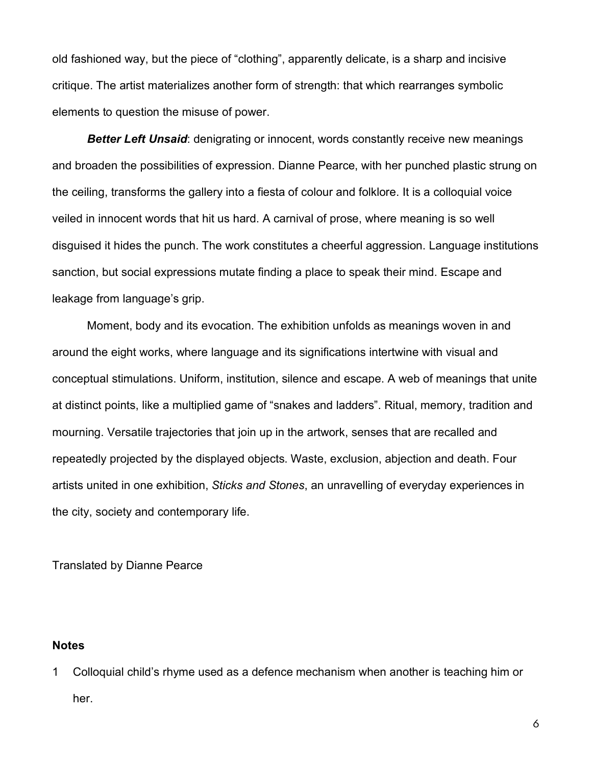old fashioned way, but the piece of "clothing", apparently delicate, is a sharp and incisive critique. The artist materializes another form of strength: that which rearranges symbolic elements to question the misuse of power.

*Better Left Unsaid*: denigrating or innocent, words constantly receive new meanings and broaden the possibilities of expression. Dianne Pearce, with her punched plastic strung on the ceiling, transforms the gallery into a fiesta of colour and folklore. It is a colloquial voice veiled in innocent words that hit us hard. A carnival of prose, where meaning is so well disguised it hides the punch. The work constitutes a cheerful aggression. Language institutions sanction, but social expressions mutate finding a place to speak their mind. Escape and leakage from language's grip.

Moment, body and its evocation. The exhibition unfolds as meanings woven in and around the eight works, where language and its significations intertwine with visual and conceptual stimulations. Uniform, institution, silence and escape. A web of meanings that unite at distinct points, like a multiplied game of "snakes and ladders". Ritual, memory, tradition and mourning. Versatile trajectories that join up in the artwork, senses that are recalled and repeatedly projected by the displayed objects. Waste, exclusion, abjection and death. Four artists united in one exhibition, *Sticks and Stones*, an unravelling of everyday experiences in the city, society and contemporary life.

Translated by Dianne Pearce

## **Notes**

1 Colloquial child's rhyme used as a defence mechanism when another is teaching him or her.